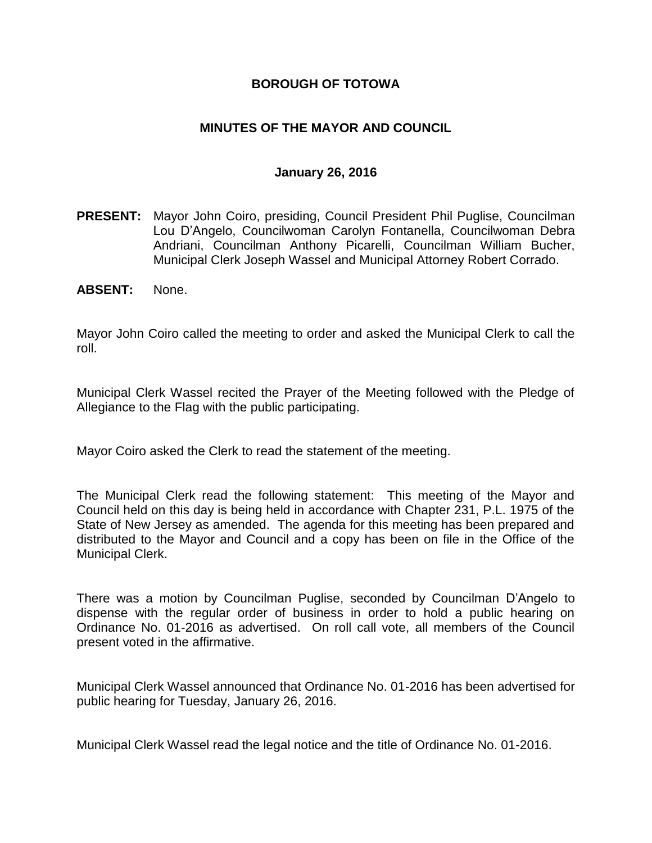### **BOROUGH OF TOTOWA**

### **MINUTES OF THE MAYOR AND COUNCIL**

#### **January 26, 2016**

- **PRESENT:** Mayor John Coiro, presiding, Council President Phil Puglise, Councilman Lou D'Angelo, Councilwoman Carolyn Fontanella, Councilwoman Debra Andriani, Councilman Anthony Picarelli, Councilman William Bucher, Municipal Clerk Joseph Wassel and Municipal Attorney Robert Corrado.
- **ABSENT:** None.

Mayor John Coiro called the meeting to order and asked the Municipal Clerk to call the roll.

Municipal Clerk Wassel recited the Prayer of the Meeting followed with the Pledge of Allegiance to the Flag with the public participating.

Mayor Coiro asked the Clerk to read the statement of the meeting.

The Municipal Clerk read the following statement: This meeting of the Mayor and Council held on this day is being held in accordance with Chapter 231, P.L. 1975 of the State of New Jersey as amended. The agenda for this meeting has been prepared and distributed to the Mayor and Council and a copy has been on file in the Office of the Municipal Clerk.

There was a motion by Councilman Puglise, seconded by Councilman D'Angelo to dispense with the regular order of business in order to hold a public hearing on Ordinance No. 01-2016 as advertised. On roll call vote, all members of the Council present voted in the affirmative.

Municipal Clerk Wassel announced that Ordinance No. 01-2016 has been advertised for public hearing for Tuesday, January 26, 2016.

Municipal Clerk Wassel read the legal notice and the title of Ordinance No. 01-2016.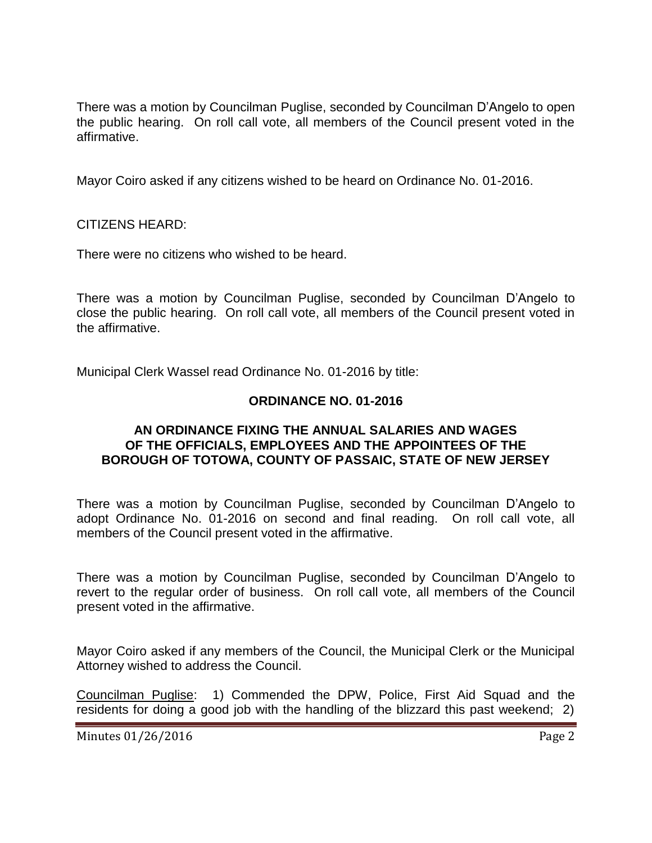There was a motion by Councilman Puglise, seconded by Councilman D'Angelo to open the public hearing. On roll call vote, all members of the Council present voted in the affirmative.

Mayor Coiro asked if any citizens wished to be heard on Ordinance No. 01-2016.

CITIZENS HEARD:

There were no citizens who wished to be heard.

There was a motion by Councilman Puglise, seconded by Councilman D'Angelo to close the public hearing. On roll call vote, all members of the Council present voted in the affirmative.

Municipal Clerk Wassel read Ordinance No. 01-2016 by title:

#### **ORDINANCE NO. 01-2016**

#### **AN ORDINANCE FIXING THE ANNUAL SALARIES AND WAGES OF THE OFFICIALS, EMPLOYEES AND THE APPOINTEES OF THE BOROUGH OF TOTOWA, COUNTY OF PASSAIC, STATE OF NEW JERSEY**

There was a motion by Councilman Puglise, seconded by Councilman D'Angelo to adopt Ordinance No. 01-2016 on second and final reading. On roll call vote, all members of the Council present voted in the affirmative.

There was a motion by Councilman Puglise, seconded by Councilman D'Angelo to revert to the regular order of business. On roll call vote, all members of the Council present voted in the affirmative.

Mayor Coiro asked if any members of the Council, the Municipal Clerk or the Municipal Attorney wished to address the Council.

Councilman Puglise: 1) Commended the DPW, Police, First Aid Squad and the residents for doing a good job with the handling of the blizzard this past weekend; 2)

Minutes 01/26/2016 **Page 2**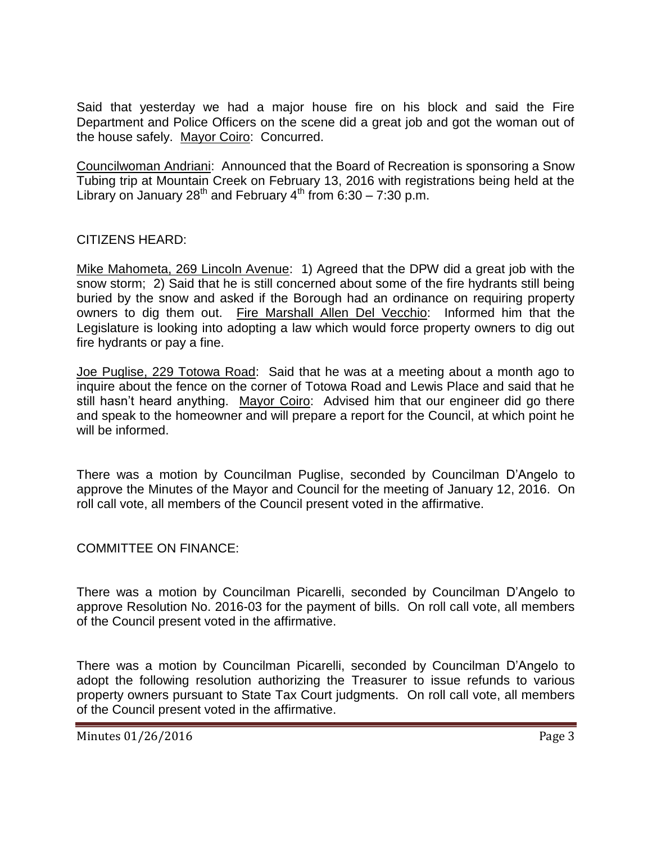Said that yesterday we had a major house fire on his block and said the Fire Department and Police Officers on the scene did a great job and got the woman out of the house safely. Mayor Coiro: Concurred.

Councilwoman Andriani: Announced that the Board of Recreation is sponsoring a Snow Tubing trip at Mountain Creek on February 13, 2016 with registrations being held at the Library on January 28<sup>th</sup> and February  $4^{th}$  from 6:30 – 7:30 p.m.

## CITIZENS HEARD:

Mike Mahometa, 269 Lincoln Avenue: 1) Agreed that the DPW did a great job with the snow storm; 2) Said that he is still concerned about some of the fire hydrants still being buried by the snow and asked if the Borough had an ordinance on requiring property owners to dig them out. Fire Marshall Allen Del Vecchio: Informed him that the Legislature is looking into adopting a law which would force property owners to dig out fire hydrants or pay a fine.

Joe Puglise, 229 Totowa Road: Said that he was at a meeting about a month ago to inquire about the fence on the corner of Totowa Road and Lewis Place and said that he still hasn't heard anything. Mayor Coiro: Advised him that our engineer did go there and speak to the homeowner and will prepare a report for the Council, at which point he will be informed.

There was a motion by Councilman Puglise, seconded by Councilman D'Angelo to approve the Minutes of the Mayor and Council for the meeting of January 12, 2016. On roll call vote, all members of the Council present voted in the affirmative.

#### COMMITTEE ON FINANCE:

There was a motion by Councilman Picarelli, seconded by Councilman D'Angelo to approve Resolution No. 2016-03 for the payment of bills. On roll call vote, all members of the Council present voted in the affirmative.

There was a motion by Councilman Picarelli, seconded by Councilman D'Angelo to adopt the following resolution authorizing the Treasurer to issue refunds to various property owners pursuant to State Tax Court judgments. On roll call vote, all members of the Council present voted in the affirmative.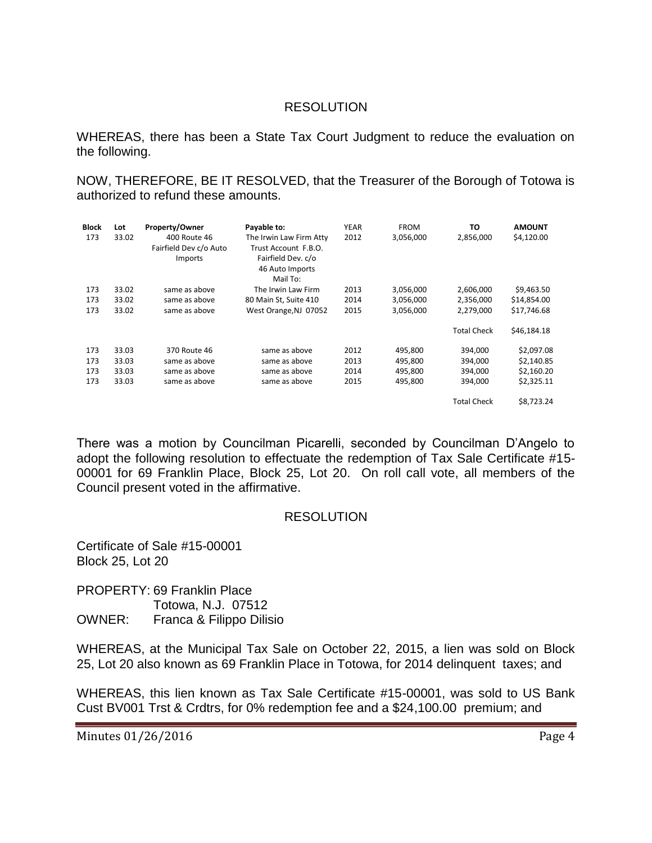### RESOLUTION

WHEREAS, there has been a State Tax Court Judgment to reduce the evaluation on the following.

NOW, THEREFORE, BE IT RESOLVED, that the Treasurer of the Borough of Totowa is authorized to refund these amounts.

| <b>Block</b> | Lot   | <b>Property/Owner</b>  | Payable to:             | <b>YEAR</b> | <b>FROM</b> | TO                 | <b>AMOUNT</b> |
|--------------|-------|------------------------|-------------------------|-------------|-------------|--------------------|---------------|
| 173          | 33.02 | 400 Route 46           | The Irwin Law Firm Atty | 2012        | 3,056,000   | 2,856,000          | \$4,120.00    |
|              |       | Fairfield Dev c/o Auto | Trust Account F.B.O.    |             |             |                    |               |
|              |       | <b>Imports</b>         | Fairfield Dev. c/o      |             |             |                    |               |
|              |       |                        | 46 Auto Imports         |             |             |                    |               |
|              |       |                        | Mail To:                |             |             |                    |               |
| 173          | 33.02 | same as above          | The Irwin Law Firm      | 2013        | 3,056,000   | 2,606,000          | \$9,463.50    |
| 173          | 33.02 | same as above          | 80 Main St, Suite 410   | 2014        | 3,056,000   | 2,356,000          | \$14,854.00   |
| 173          | 33.02 | same as above          | West Orange, NJ 07052   | 2015        | 3,056,000   | 2,279,000          | \$17,746.68   |
|              |       |                        |                         |             |             | <b>Total Check</b> | \$46,184.18   |
| 173          | 33.03 | 370 Route 46           | same as above           | 2012        | 495,800     | 394,000            | \$2,097.08    |
| 173          | 33.03 | same as above          | same as above           | 2013        | 495.800     | 394.000            | \$2,140.85    |
| 173          | 33.03 | same as above          | same as above           | 2014        | 495,800     | 394,000            | \$2,160.20    |
| 173          | 33.03 | same as above          | same as above           | 2015        | 495,800     | 394,000            | \$2,325.11    |
|              |       |                        |                         |             |             | <b>Total Check</b> | \$8.723.24    |

There was a motion by Councilman Picarelli, seconded by Councilman D'Angelo to adopt the following resolution to effectuate the redemption of Tax Sale Certificate #15- 00001 for 69 Franklin Place, Block 25, Lot 20. On roll call vote, all members of the Council present voted in the affirmative.

#### RESOLUTION

Certificate of Sale #15-00001 Block 25, Lot 20

PROPERTY: 69 Franklin Place Totowa, N.J. 07512 OWNER: Franca & Filippo Dilisio

WHEREAS, at the Municipal Tax Sale on October 22, 2015, a lien was sold on Block 25, Lot 20 also known as 69 Franklin Place in Totowa, for 2014 delinquent taxes; and

WHEREAS, this lien known as Tax Sale Certificate #15-00001, was sold to US Bank Cust BV001 Trst & Crdtrs, for 0% redemption fee and a \$24,100.00 premium; and

Minutes 01/26/2016 **Page 4**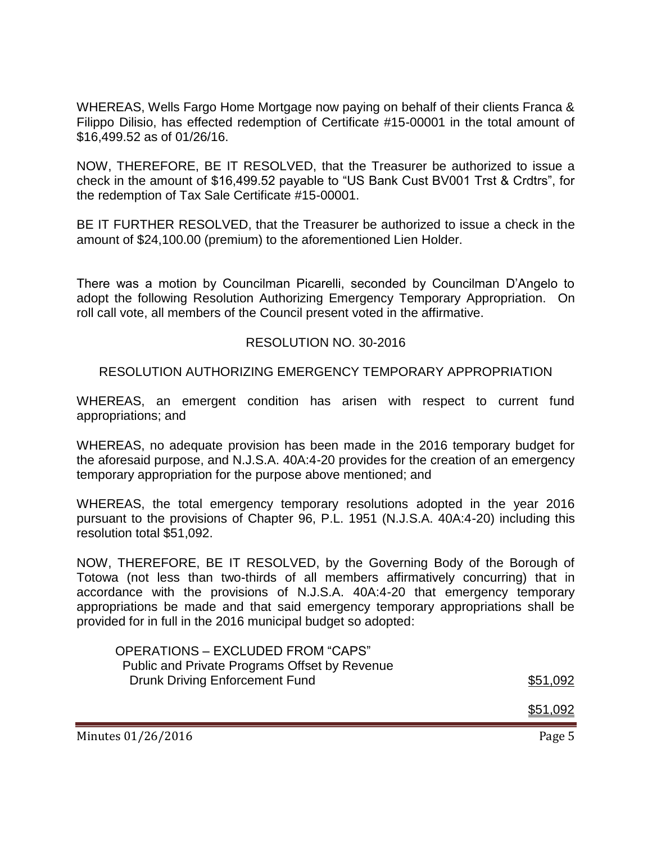WHEREAS, Wells Fargo Home Mortgage now paying on behalf of their clients Franca & Filippo Dilisio, has effected redemption of Certificate #15-00001 in the total amount of \$16,499.52 as of 01/26/16.

NOW, THEREFORE, BE IT RESOLVED, that the Treasurer be authorized to issue a check in the amount of \$16,499.52 payable to "US Bank Cust BV001 Trst & Crdtrs", for the redemption of Tax Sale Certificate #15-00001.

BE IT FURTHER RESOLVED, that the Treasurer be authorized to issue a check in the amount of \$24,100.00 (premium) to the aforementioned Lien Holder.

There was a motion by Councilman Picarelli, seconded by Councilman D'Angelo to adopt the following Resolution Authorizing Emergency Temporary Appropriation. On roll call vote, all members of the Council present voted in the affirmative.

#### RESOLUTION NO. 30-2016

RESOLUTION AUTHORIZING EMERGENCY TEMPORARY APPROPRIATION

WHEREAS, an emergent condition has arisen with respect to current fund appropriations; and

WHEREAS, no adequate provision has been made in the 2016 temporary budget for the aforesaid purpose, and N.J.S.A. 40A:4-20 provides for the creation of an emergency temporary appropriation for the purpose above mentioned; and

WHEREAS, the total emergency temporary resolutions adopted in the year 2016 pursuant to the provisions of Chapter 96, P.L. 1951 (N.J.S.A. 40A:4-20) including this resolution total \$51,092.

NOW, THEREFORE, BE IT RESOLVED, by the Governing Body of the Borough of Totowa (not less than two-thirds of all members affirmatively concurring) that in accordance with the provisions of N.J.S.A. 40A:4-20 that emergency temporary appropriations be made and that said emergency temporary appropriations shall be provided for in full in the 2016 municipal budget so adopted:

| OPERATIONS - EXCLUDED FROM "CAPS"             |          |
|-----------------------------------------------|----------|
| Public and Private Programs Offset by Revenue |          |
| Drunk Driving Enforcement Fund                | \$51,092 |

\$51,092

Minutes 01/26/2016 **Page 5**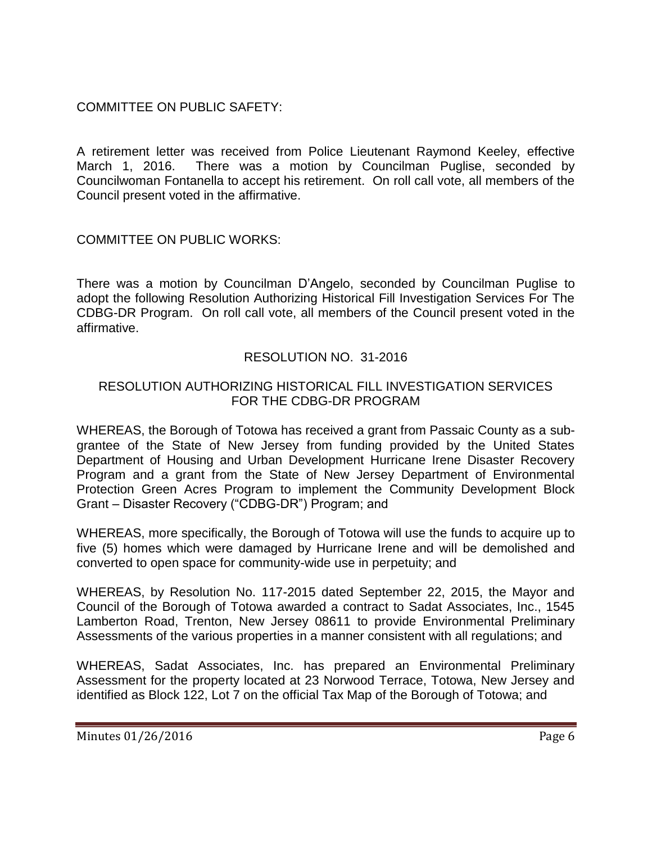# COMMITTEE ON PUBLIC SAFETY:

A retirement letter was received from Police Lieutenant Raymond Keeley, effective March 1, 2016. There was a motion by Councilman Puglise, seconded by Councilwoman Fontanella to accept his retirement. On roll call vote, all members of the Council present voted in the affirmative.

COMMITTEE ON PUBLIC WORKS:

There was a motion by Councilman D'Angelo, seconded by Councilman Puglise to adopt the following Resolution Authorizing Historical Fill Investigation Services For The CDBG-DR Program. On roll call vote, all members of the Council present voted in the affirmative.

# RESOLUTION NO. 31-2016

### RESOLUTION AUTHORIZING HISTORICAL FILL INVESTIGATION SERVICES FOR THE CDBG-DR PROGRAM

WHEREAS, the Borough of Totowa has received a grant from Passaic County as a subgrantee of the State of New Jersey from funding provided by the United States Department of Housing and Urban Development Hurricane Irene Disaster Recovery Program and a grant from the State of New Jersey Department of Environmental Protection Green Acres Program to implement the Community Development Block Grant – Disaster Recovery ("CDBG-DR") Program; and

WHEREAS, more specifically, the Borough of Totowa will use the funds to acquire up to five (5) homes which were damaged by Hurricane Irene and will be demolished and converted to open space for community-wide use in perpetuity; and

WHEREAS, by Resolution No. 117-2015 dated September 22, 2015, the Mayor and Council of the Borough of Totowa awarded a contract to Sadat Associates, Inc., 1545 Lamberton Road, Trenton, New Jersey 08611 to provide Environmental Preliminary Assessments of the various properties in a manner consistent with all regulations; and

WHEREAS, Sadat Associates, Inc. has prepared an Environmental Preliminary Assessment for the property located at 23 Norwood Terrace, Totowa, New Jersey and identified as Block 122, Lot 7 on the official Tax Map of the Borough of Totowa; and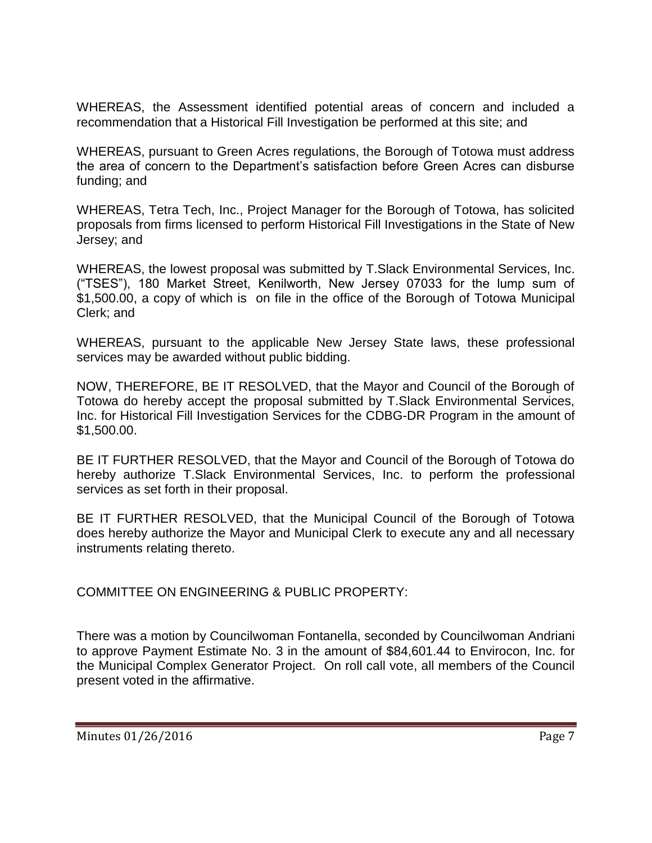WHEREAS, the Assessment identified potential areas of concern and included a recommendation that a Historical Fill Investigation be performed at this site; and

WHEREAS, pursuant to Green Acres regulations, the Borough of Totowa must address the area of concern to the Department's satisfaction before Green Acres can disburse funding; and

WHEREAS, Tetra Tech, Inc., Project Manager for the Borough of Totowa, has solicited proposals from firms licensed to perform Historical Fill Investigations in the State of New Jersey; and

WHEREAS, the lowest proposal was submitted by T.Slack Environmental Services, Inc. ("TSES"), 180 Market Street, Kenilworth, New Jersey 07033 for the lump sum of \$1,500.00, a copy of which is on file in the office of the Borough of Totowa Municipal Clerk; and

WHEREAS, pursuant to the applicable New Jersey State laws, these professional services may be awarded without public bidding.

NOW, THEREFORE, BE IT RESOLVED, that the Mayor and Council of the Borough of Totowa do hereby accept the proposal submitted by T.Slack Environmental Services, Inc. for Historical Fill Investigation Services for the CDBG-DR Program in the amount of \$1,500.00.

BE IT FURTHER RESOLVED, that the Mayor and Council of the Borough of Totowa do hereby authorize T.Slack Environmental Services, Inc. to perform the professional services as set forth in their proposal.

BE IT FURTHER RESOLVED, that the Municipal Council of the Borough of Totowa does hereby authorize the Mayor and Municipal Clerk to execute any and all necessary instruments relating thereto.

COMMITTEE ON ENGINEERING & PUBLIC PROPERTY:

There was a motion by Councilwoman Fontanella, seconded by Councilwoman Andriani to approve Payment Estimate No. 3 in the amount of \$84,601.44 to Envirocon, Inc. for the Municipal Complex Generator Project. On roll call vote, all members of the Council present voted in the affirmative.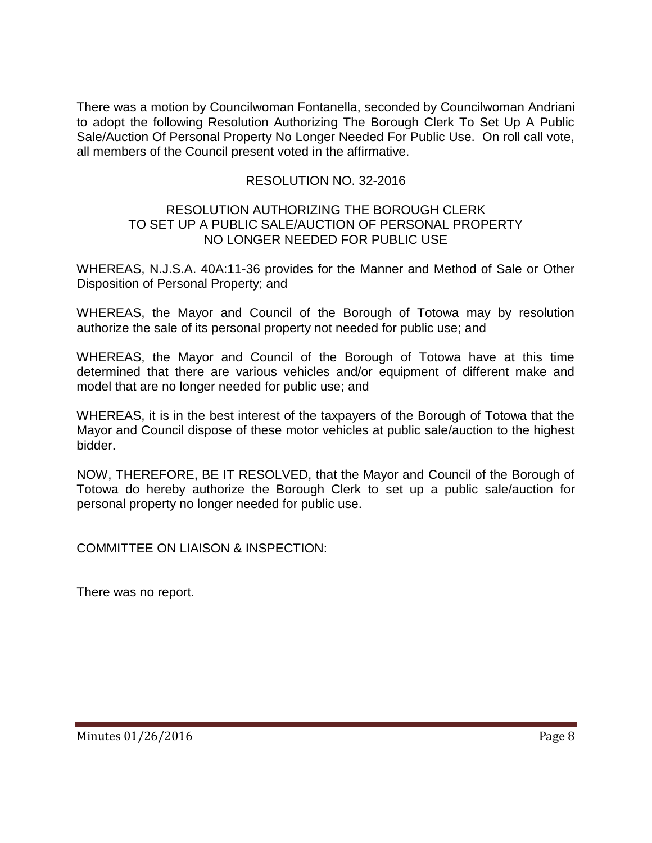There was a motion by Councilwoman Fontanella, seconded by Councilwoman Andriani to adopt the following Resolution Authorizing The Borough Clerk To Set Up A Public Sale/Auction Of Personal Property No Longer Needed For Public Use. On roll call vote, all members of the Council present voted in the affirmative.

## RESOLUTION NO. 32-2016

#### RESOLUTION AUTHORIZING THE BOROUGH CLERK TO SET UP A PUBLIC SALE/AUCTION OF PERSONAL PROPERTY NO LONGER NEEDED FOR PUBLIC USE

WHEREAS, N.J.S.A. 40A:11-36 provides for the Manner and Method of Sale or Other Disposition of Personal Property; and

WHEREAS, the Mayor and Council of the Borough of Totowa may by resolution authorize the sale of its personal property not needed for public use; and

WHEREAS, the Mayor and Council of the Borough of Totowa have at this time determined that there are various vehicles and/or equipment of different make and model that are no longer needed for public use; and

WHEREAS, it is in the best interest of the taxpayers of the Borough of Totowa that the Mayor and Council dispose of these motor vehicles at public sale/auction to the highest bidder.

NOW, THEREFORE, BE IT RESOLVED, that the Mayor and Council of the Borough of Totowa do hereby authorize the Borough Clerk to set up a public sale/auction for personal property no longer needed for public use.

COMMITTEE ON LIAISON & INSPECTION:

There was no report.